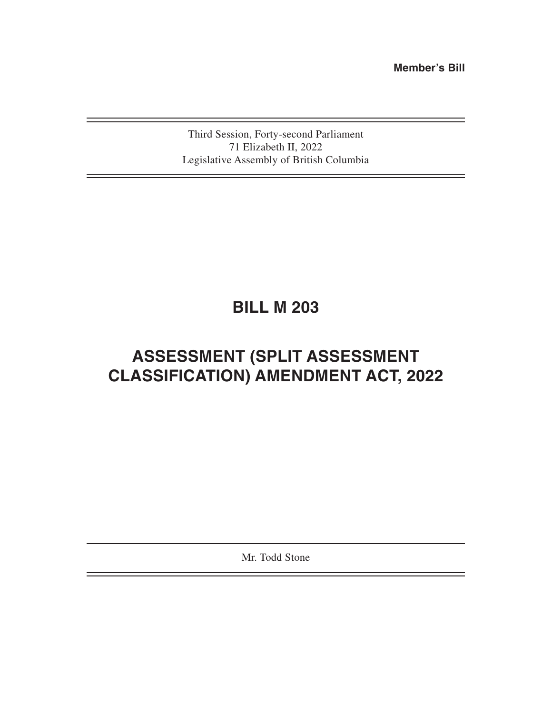**Member's Bill**

Third Session, Forty-second Parliament 71 Elizabeth II, 2022 Legislative Assembly of British Columbia

# **BILL M 203**

## **ASSESSMENT (SPLIT ASSESSMENT CLASSIFICATION) AMENDMENT ACT, 2022**

Mr. Todd Stone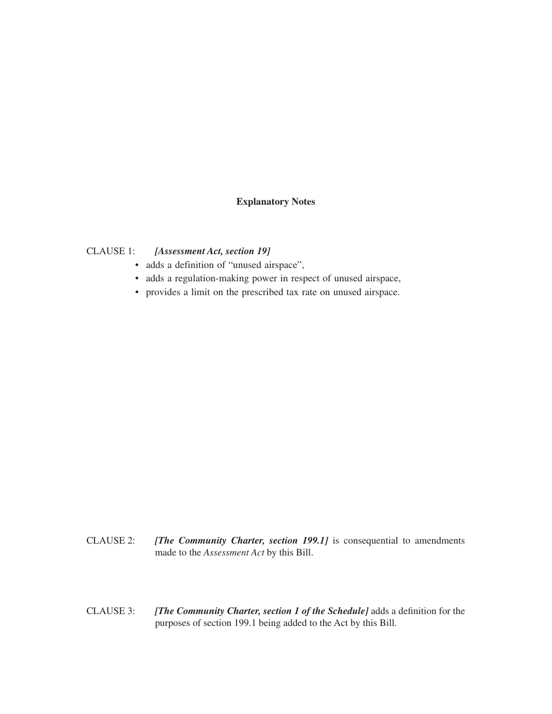## **Explanatory Notes**

## CLAUSE 1: *[Assessment Act, section 19]*

- adds a definition of "unused airspace",
- adds a regulation-making power in respect of unused airspace,
- provides a limit on the prescribed tax rate on unused airspace.

- CLAUSE 2: *[The Community Charter, section 199.1]* is consequential to amendments made to the *Assessment Act* by this Bill.
- CLAUSE 3: *[The Community Charter, section 1 of the Schedule]* adds a definition for the purposes of section 199.1 being added to the Act by this Bill.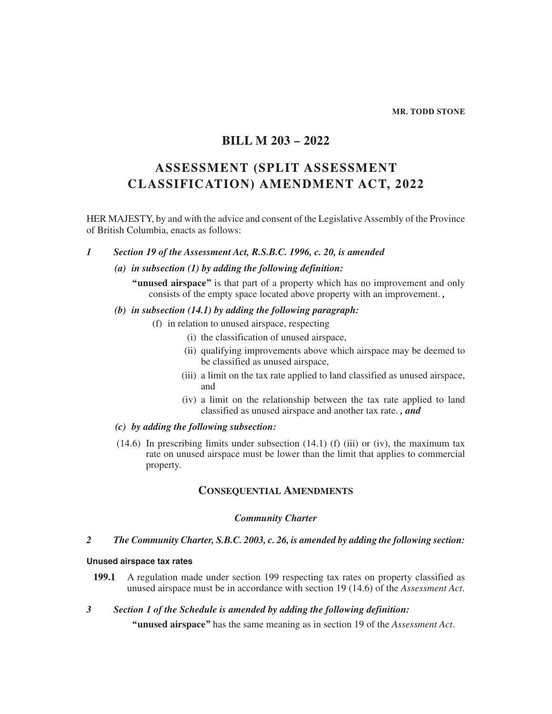#### **MR. TODD STONE**

## **BILL M 203 – 2022**

## **ASSESSMENT (SPLIT ASSESSMENT CLASSIFICATION) AMENDMENT ACT, 2022**

HER MAJESTY, by and with the advice and consent of the Legislative Assembly of the Province of British Columbia, enacts as follows:

## *1 Section 19 of the Assessment Act, R.S.B.C. 1996, c. 20, is amended*

## *(a) in subsection (1) by adding the following definition:*

**"unused airspace"** is that part of a property which has no improvement and only consists of the empty space located above property with an improvement. *,*

## *(b) in subsection (14.1) by adding the following paragraph:*

- (f) in relation to unused airspace, respecting
	- (i) the classification of unused airspace,
	- (ii) qualifying improvements above which airspace may be deemed to be classified as unused airspace,
	- (iii) a limit on the tax rate applied to land classified as unused airspace, and
	- (iv) a limit on the relationship between the tax rate applied to land classified as unused airspace and another tax rate. *, and*

## *(c) by adding the following subsection:*

 $(14.6)$  In prescribing limits under subsection  $(14.1)$  (f) (iii) or (iv), the maximum tax rate on unused airspace must be lower than the limit that applies to commercial property.

## **Consequential Amendments**

#### *Community Charter*

## *2 The Community Charter, S.B.C. 2003, c. 26, is amended by adding the following section:*

## **Unused airspace tax rates**

- **199.1** A regulation made under section 199 respecting tax rates on property classified as unused airspace must be in accordance with section 19 (14.6) of the *Assessment Act*.
- *3 Section 1 of the Schedule is amended by adding the following definition:*

**"unused airspace"** has the same meaning as in section 19 of the *Assessment Act*.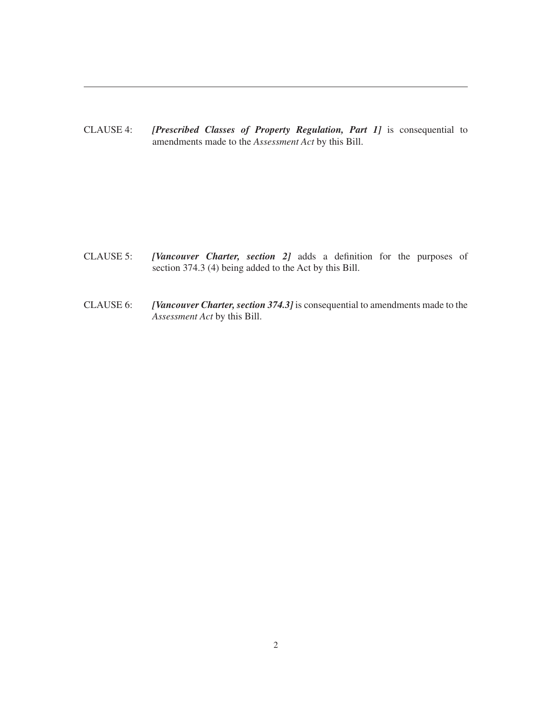CLAUSE 4: *[Prescribed Classes of Property Regulation, Part 1]* is consequential to amendments made to the *Assessment Act* by this Bill.

- CLAUSE 5: *[Vancouver Charter, section 2]* adds a definition for the purposes of section 374.3 (4) being added to the Act by this Bill.
- CLAUSE 6: *[Vancouver Charter, section 374.3]* is consequential to amendments made to the *Assessment Act* by this Bill.